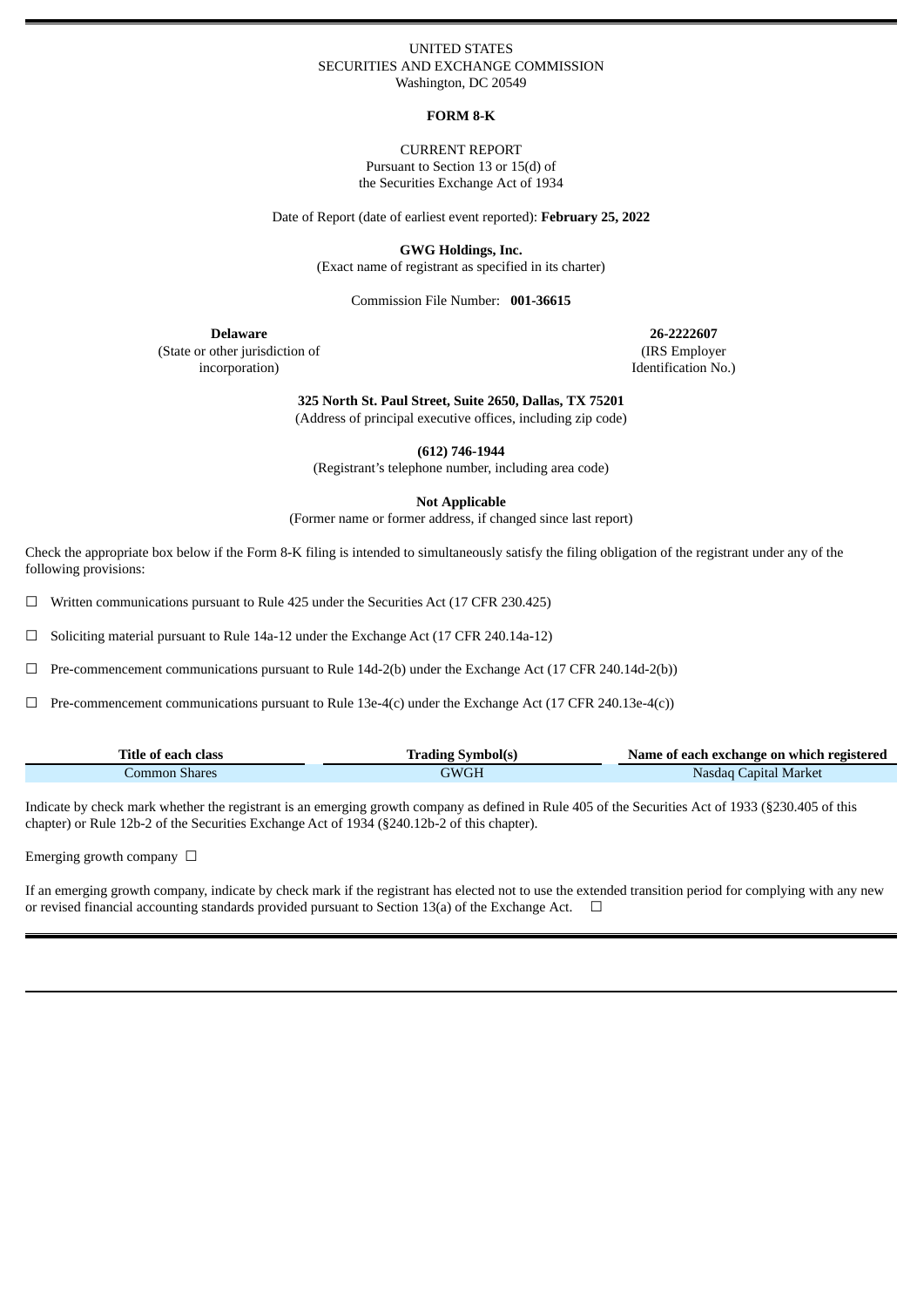#### UNITED STATES SECURITIES AND EXCHANGE COMMISSION Washington, DC 20549

### **FORM 8-K**

CURRENT REPORT Pursuant to Section 13 or 15(d) of the Securities Exchange Act of 1934

Date of Report (date of earliest event reported): **February 25, 2022**

**GWG Holdings, Inc.**

(Exact name of registrant as specified in its charter)

Commission File Number: **001-36615**

(State or other jurisdiction of incorporation)

**Delaware 26-2222607** (IRS Employer Identification No.)

**325 North St. Paul Street, Suite 2650, Dallas, TX 75201**

(Address of principal executive offices, including zip code)

**(612) 746-1944**

(Registrant's telephone number, including area code)

**Not Applicable**

(Former name or former address, if changed since last report)

Check the appropriate box below if the Form 8-K filing is intended to simultaneously satisfy the filing obligation of the registrant under any of the following provisions:

☐ Written communications pursuant to Rule 425 under the Securities Act (17 CFR 230.425)

☐ Soliciting material pursuant to Rule 14a-12 under the Exchange Act (17 CFR 240.14a-12)

☐ Pre-commencement communications pursuant to Rule 14d-2(b) under the Exchange Act (17 CFR 240.14d-2(b))

☐ Pre-commencement communications pursuant to Rule 13e-4(c) under the Exchange Act (17 CFR 240.13e-4(c))

| Title of each class | ' Symbol(s<br>rading | Name of each exchange on which registered |
|---------------------|----------------------|-------------------------------------------|
| Common Shares       | GWGH                 | Capital Market<br>Nasdaq                  |

Indicate by check mark whether the registrant is an emerging growth company as defined in Rule 405 of the Securities Act of 1933 (§230.405 of this chapter) or Rule 12b-2 of the Securities Exchange Act of 1934 (§240.12b-2 of this chapter).

Emerging growth company  $\Box$ 

If an emerging growth company, indicate by check mark if the registrant has elected not to use the extended transition period for complying with any new or revised financial accounting standards provided pursuant to Section 13(a) of the Exchange Act.  $\Box$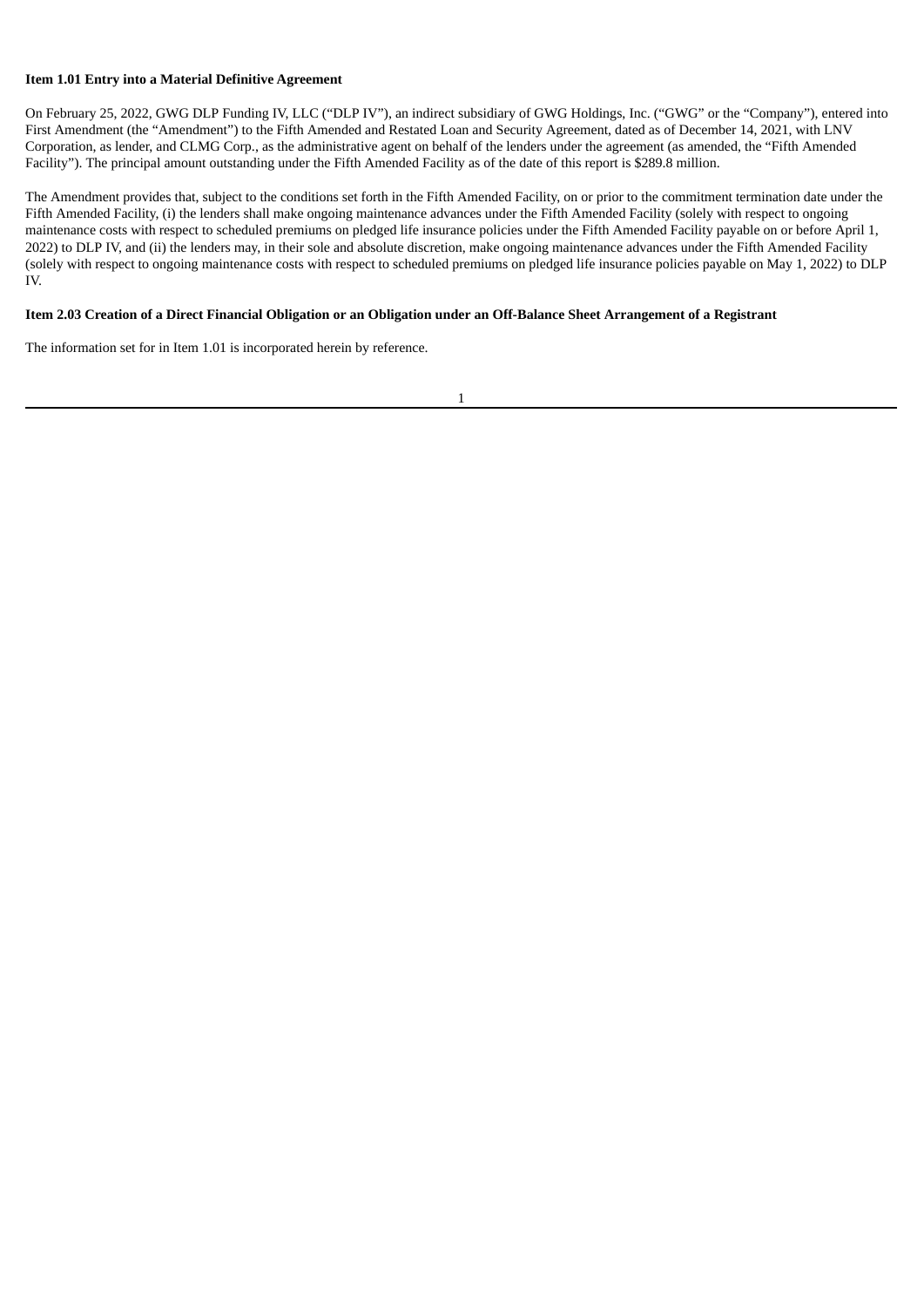#### **Item 1.01 Entry into a Material Definitive Agreement**

On February 25, 2022, GWG DLP Funding IV, LLC ("DLP IV"), an indirect subsidiary of GWG Holdings, Inc. ("GWG" or the "Company"), entered into First Amendment (the "Amendment") to the Fifth Amended and Restated Loan and Security Agreement, dated as of December 14, 2021, with LNV Corporation, as lender, and CLMG Corp., as the administrative agent on behalf of the lenders under the agreement (as amended, the "Fifth Amended Facility"). The principal amount outstanding under the Fifth Amended Facility as of the date of this report is \$289.8 million.

The Amendment provides that, subject to the conditions set forth in the Fifth Amended Facility, on or prior to the commitment termination date under the Fifth Amended Facility, (i) the lenders shall make ongoing maintenance advances under the Fifth Amended Facility (solely with respect to ongoing maintenance costs with respect to scheduled premiums on pledged life insurance policies under the Fifth Amended Facility payable on or before April 1, 2022) to DLP IV, and (ii) the lenders may, in their sole and absolute discretion, make ongoing maintenance advances under the Fifth Amended Facility (solely with respect to ongoing maintenance costs with respect to scheduled premiums on pledged life insurance policies payable on May 1, 2022) to DLP IV.

#### Item 2.03 Creation of a Direct Financial Obligation or an Obligation under an Off-Balance Sheet Arrangement of a Registrant

The information set for in Item 1.01 is incorporated herein by reference.

1